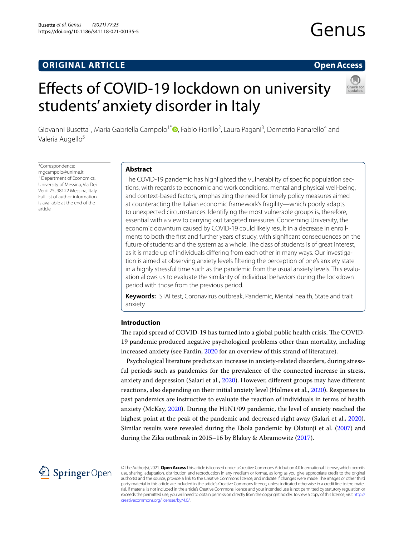# **ORIGINAL ARTICLE**

## **Open Access**

# Efects of COVID‑19 lockdown on university students' anxiety disorder in Italy



Giovanni Busetta<sup>1</sup>, Maria Gabriella Campolo<sup>1[\\*](http://orcid.org/0000-0002-1075-4573)</sup>®, Fabio Fiorillo<sup>2</sup>, Laura Pagani<sup>3</sup>, Demetrio Panarello<sup>4</sup> and Valeria Augello<sup>5</sup>

\*Correspondence: mgcampolo@unime.it <sup>1</sup> Department of Economics, University of Messina, Via Dei Verdi 75, 98122 Messina, Italy Full list of author information is available at the end of the article

#### **Abstract**

The COVID-19 pandemic has highlighted the vulnerability of specifc population sections, with regards to economic and work conditions, mental and physical well-being, and context-based factors, emphasizing the need for timely policy measures aimed at counteracting the Italian economic framework's fragility—which poorly adapts to unexpected circumstances. Identifying the most vulnerable groups is, therefore, essential with a view to carrying out targeted measures. Concerning University, the economic downturn caused by COVID-19 could likely result in a decrease in enrollments to both the frst and further years of study, with signifcant consequences on the future of students and the system as a whole. The class of students is of great interest, as it is made up of individuals difering from each other in many ways. Our investigation is aimed at observing anxiety levels fltering the perception of one's anxiety state in a highly stressful time such as the pandemic from the usual anxiety levels. This evaluation allows us to evaluate the similarity of individual behaviors during the lockdown period with those from the previous period.

**Keywords:** STAI test, Coronavirus outbreak, Pandemic, Mental health, State and trait anxiety

#### **Introduction**

The rapid spread of COVID-19 has turned into a global public health crisis. The COVID-19 pandemic produced negative psychological problems other than mortality, including increased anxiety (see Fardin, [2020](#page-14-0) for an overview of this strand of literature).

Psychological literature predicts an increase in anxiety-related disorders, during stressful periods such as pandemics for the prevalence of the connected increase in stress, anxiety and depression (Salari et al., [2020\)](#page-15-0). However, diferent groups may have diferent reactions, also depending on their initial anxiety level (Holmes et al., [2020\)](#page-14-1). Responses to past pandemics are instructive to evaluate the reaction of individuals in terms of health anxiety (McKay, [2020](#page-14-2)). During the H1N1/09 pandemic, the level of anxiety reached the highest point at the peak of the pandemic and decreased right away (Salari et al., [2020](#page-15-0)). Similar results were revealed during the Ebola pandemic by Olatunji et al. [\(2007\)](#page-14-3) and during the Zika outbreak in 2015–16 by Blakey & Abramowitz [\(2017\)](#page-14-4).



© The Author(s), 2021. **Open Access** This article is licensed under a Creative Commons Attribution 4.0 International License, which permits use, sharing, adaptation, distribution and reproduction in any medium or format, as long as you give appropriate credit to the original author(s) and the source, provide a link to the Creative Commons licence, and indicate if changes were made. The images or other third party material in this article are included in the article's Creative Commons licence, unless indicated otherwise in a credit line to the material. If material is not included in the article's Creative Commons licence and your intended use is not permitted by statutory regulation or exceeds the permitted use, you will need to obtain permission directly from the copyright holder. To view a copy of this licence, visit [http://](http://creativecommons.org/licenses/by/4.0/) [creativecommons.org/licenses/by/4.0/.](http://creativecommons.org/licenses/by/4.0/)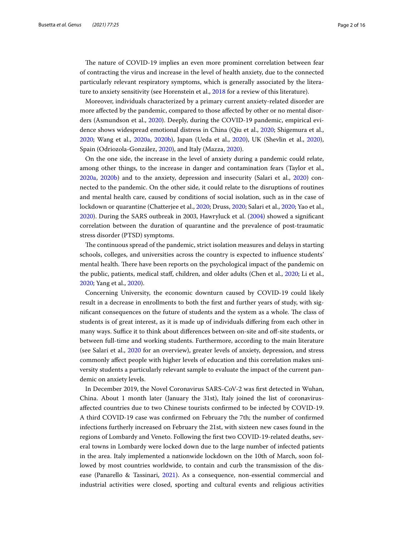The nature of COVID-19 implies an even more prominent correlation between fear of contracting the virus and increase in the level of health anxiety, due to the connected particularly relevant respiratory symptoms, which is generally associated by the literature to anxiety sensitivity (see Horenstein et al., [2018](#page-14-5) for a review of this literature).

Moreover, individuals characterized by a primary current anxiety-related disorder are more afected by the pandemic, compared to those afected by other or no mental disorders (Asmundson et al., [2020\)](#page-13-0). Deeply, during the COVID-19 pandemic, empirical evidence shows widespread emotional distress in China (Qiu et al., [2020;](#page-14-6) Shigemura et al., [2020](#page-15-1); Wang et al., [2020a,](#page-15-2) [2020b](#page-15-3)), Japan (Ueda et al., [2020](#page-15-4)), UK (Shevlin et al., [2020](#page-15-5)), Spain (Odriozola-González, [2020\)](#page-14-7), and Italy (Mazza, [2020\)](#page-14-8).

On the one side, the increase in the level of anxiety during a pandemic could relate, among other things, to the increase in danger and contamination fears (Taylor et al., [2020a](#page-15-6), [2020b\)](#page-15-7) and to the anxiety, depression and insecurity (Salari et al., [2020](#page-15-0)) connected to the pandemic. On the other side, it could relate to the disruptions of routines and mental health care, caused by conditions of social isolation, such as in the case of lockdown or quarantine (Chatterjee et al., [2020;](#page-14-9) Druss, [2020;](#page-14-10) Salari et al., [2020;](#page-15-0) Yao et al., [2020](#page-15-8)). During the SARS outbreak in 2003, Hawryluck et al. [\(2004\)](#page-14-11) showed a signifcant correlation between the duration of quarantine and the prevalence of post-traumatic stress disorder (PTSD) symptoms.

The continuous spread of the pandemic, strict isolation measures and delays in starting schools, colleges, and universities across the country is expected to infuence students' mental health. There have been reports on the psychological impact of the pandemic on the public, patients, medical staf, children, and older adults (Chen et al., [2020;](#page-14-12) Li et al., [2020](#page-14-13); Yang et al., [2020\)](#page-15-9).

Concerning University, the economic downturn caused by COVID-19 could likely result in a decrease in enrollments to both the frst and further years of study, with significant consequences on the future of students and the system as a whole. The class of students is of great interest, as it is made up of individuals difering from each other in many ways. Suffice it to think about differences between on-site and off-site students, or between full-time and working students. Furthermore, according to the main literature (see Salari et al., [2020](#page-15-0) for an overview), greater levels of anxiety, depression, and stress commonly afect people with higher levels of education and this correlation makes university students a particularly relevant sample to evaluate the impact of the current pandemic on anxiety levels.

In December 2019, the Novel Coronavirus SARS-CoV-2 was frst detected in Wuhan, China. About 1 month later (January the 31st), Italy joined the list of coronavirusafected countries due to two Chinese tourists confrmed to be infected by COVID-19. A third COVID-19 case was confrmed on February the 7th; the number of confrmed infections furtherly increased on February the 21st, with sixteen new cases found in the regions of Lombardy and Veneto. Following the frst two COVID-19-related deaths, several towns in Lombardy were locked down due to the large number of infected patients in the area. Italy implemented a nationwide lockdown on the 10th of March, soon followed by most countries worldwide, to contain and curb the transmission of the disease (Panarello & Tassinari, [2021](#page-14-14)). As a consequence, non-essential commercial and industrial activities were closed, sporting and cultural events and religious activities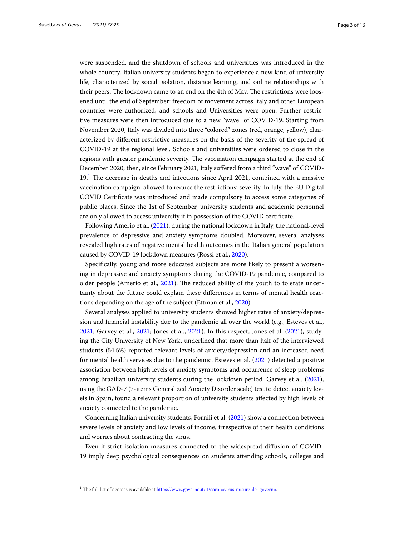were suspended, and the shutdown of schools and universities was introduced in the whole country. Italian university students began to experience a new kind of university life, characterized by social isolation, distance learning, and online relationships with their peers. The lockdown came to an end on the 4th of May. The restrictions were loosened until the end of September: freedom of movement across Italy and other European countries were authorized, and schools and Universities were open. Further restrictive measures were then introduced due to a new "wave" of COVID-19. Starting from November 2020, Italy was divided into three "colored" zones (red, orange, yellow), characterized by diferent restrictive measures on the basis of the severity of the spread of COVID-19 at the regional level. Schools and universities were ordered to close in the regions with greater pandemic severity. The vaccination campaign started at the end of December 2020; then, since February 2021, Italy sufered from a third "wave" of COVID- $19<sup>1</sup>$  $19<sup>1</sup>$  The decrease in deaths and infections since April 2021, combined with a massive vaccination campaign, allowed to reduce the restrictions' severity. In July, the EU Digital COVID Certifcate was introduced and made compulsory to access some categories of public places. Since the 1st of September, university students and academic personnel are only allowed to access university if in possession of the COVID certifcate.

Following Amerio et al. ([2021](#page-13-1)), during the national lockdown in Italy, the national-level prevalence of depressive and anxiety symptoms doubled. Moreover, several analyses revealed high rates of negative mental health outcomes in the Italian general population caused by COVID-19 lockdown measures (Rossi et al., [2020](#page-14-15)).

Specifcally, young and more educated subjects are more likely to present a worsening in depressive and anxiety symptoms during the COVID-19 pandemic, compared to older people (Amerio et al., [2021\)](#page-13-1). The reduced ability of the youth to tolerate uncertainty about the future could explain these diferences in terms of mental health reactions depending on the age of the subject (Ettman et al., [2020](#page-14-16)).

Several analyses applied to university students showed higher rates of anxiety/depression and fnancial instability due to the pandemic all over the world (e.g., Esteves et al., [2021](#page-14-17); Garvey et al., [2021](#page-14-18); Jones et al., [2021](#page-14-19)). In this respect, Jones et al. ([2021](#page-14-19)), studying the City University of New York, underlined that more than half of the interviewed students (54.5%) reported relevant levels of anxiety/depression and an increased need for mental health services due to the pandemic. Esteves et al. [\(2021\)](#page-14-17) detected a positive association between high levels of anxiety symptoms and occurrence of sleep problems among Brazilian university students during the lockdown period. Garvey et al. ([2021](#page-14-18)), using the GAD-7 (7-items Generalized Anxiety Disorder scale) test to detect anxiety levels in Spain, found a relevant proportion of university students afected by high levels of anxiety connected to the pandemic.

Concerning Italian university students, Fornili et al. ([2021\)](#page-14-20) show a connection between severe levels of anxiety and low levels of income, irrespective of their health conditions and worries about contracting the virus.

Even if strict isolation measures connected to the widespread difusion of COVID-19 imply deep psychological consequences on students attending schools, colleges and

<span id="page-2-0"></span> $1$  The full list of decrees is available at <https://www.governo.it/it/coronavirus-misure-del-governo>.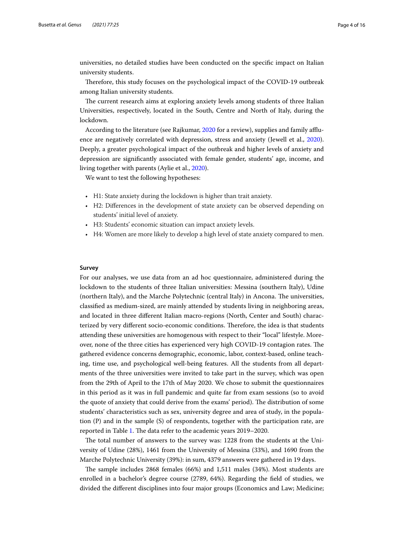universities, no detailed studies have been conducted on the specifc impact on Italian university students.

Therefore, this study focuses on the psychological impact of the COVID-19 outbreak among Italian university students.

The current research aims at exploring anxiety levels among students of three Italian Universities, respectively, located in the South, Centre and North of Italy, during the lockdown.

According to the literature (see Rajkumar, [2020](#page-14-21) for a review), supplies and family afuence are negatively correlated with depression, stress and anxiety (Jewell et al., [2020](#page-14-22)). Deeply, a greater psychological impact of the outbreak and higher levels of anxiety and depression are signifcantly associated with female gender, students' age, income, and living together with parents (Aylie et al., [2020](#page-14-23)).

We want to test the following hypotheses:

- H1: State anxiety during the lockdown is higher than trait anxiety.
- H2: Diferences in the development of state anxiety can be observed depending on students' initial level of anxiety.
- H3: Students' economic situation can impact anxiety levels.
- H4: Women are more likely to develop a high level of state anxiety compared to men.

#### **Survey**

For our analyses, we use data from an ad hoc questionnaire, administered during the lockdown to the students of three Italian universities: Messina (southern Italy), Udine (northern Italy), and the Marche Polytechnic (central Italy) in Ancona. The universities, classifed as medium-sized, are mainly attended by students living in neighboring areas, and located in three diferent Italian macro-regions (North, Center and South) characterized by very different socio-economic conditions. Therefore, the idea is that students attending these universities are homogenous with respect to their "local" lifestyle. Moreover, none of the three cities has experienced very high COVID-19 contagion rates. The gathered evidence concerns demographic, economic, labor, context-based, online teaching, time use, and psychological well-being features. All the students from all departments of the three universities were invited to take part in the survey, which was open from the 29th of April to the 17th of May 2020. We chose to submit the questionnaires in this period as it was in full pandemic and quite far from exam sessions (so to avoid the quote of anxiety that could derive from the exams' period). The distribution of some students' characteristics such as sex, university degree and area of study, in the population (P) and in the sample (S) of respondents, together with the participation rate, are reported in Table [1](#page-4-0). The data refer to the academic years 2019–2020.

The total number of answers to the survey was: 1228 from the students at the University of Udine (28%), 1461 from the University of Messina (33%), and 1690 from the Marche Polytechnic University (39%): in sum, 4379 answers were gathered in 19 days.

The sample includes 2868 females (66%) and 1,511 males (34%). Most students are enrolled in a bachelor's degree course (2789, 64%). Regarding the feld of studies, we divided the diferent disciplines into four major groups (Economics and Law; Medicine;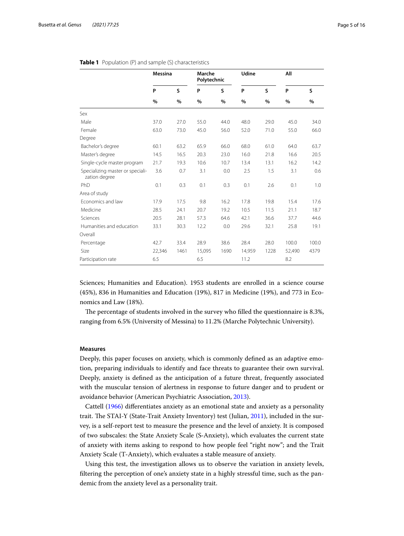|                                                   | <b>Messina</b> |      | Marche | Polytechnic |        |      | All    |       |
|---------------------------------------------------|----------------|------|--------|-------------|--------|------|--------|-------|
|                                                   | P              | S    | P      | S           | P      | S    | P      | S     |
|                                                   | %              | %    | %      | %           | %      | %    | $\%$   | %     |
| Sex                                               |                |      |        |             |        |      |        |       |
| Male                                              | 37.0           | 27.0 | 55.0   | 44.0        | 48.0   | 29.0 | 45.0   | 34.0  |
| Female                                            | 63.0           | 73.0 | 45.0   | 56.0        | 52.0   | 71.0 | 55.0   | 66.0  |
| Degree                                            |                |      |        |             |        |      |        |       |
| Bachelor's degree                                 | 60.1           | 63.2 | 65.9   | 66.0        | 68.0   | 61.0 | 64.0   | 63.7  |
| Master's degree                                   | 14.5           | 16.5 | 20.3   | 23.0        | 16.0   | 21.8 | 16.6   | 20.5  |
| Single-cycle master program                       | 21.7           | 19.3 | 10.6   | 10.7        | 13.4   | 13.1 | 16.2   | 14.2  |
| Specializing master or speciali-<br>zation degree | 3.6            | 0.7  | 3.1    | 0.0         | 2.5    | 1.5  | 3.1    | 0.6   |
| PhD                                               | 0.1            | 0.3  | 0.1    | 0.3         | 0.1    | 2.6  | 0.1    | 1.0   |
| Area of study                                     |                |      |        |             |        |      |        |       |
| Economics and law                                 | 17.9           | 17.5 | 9.8    | 16.2        | 17.8   | 19.8 | 15.4   | 17.6  |
| Medicine                                          | 28.5           | 24.1 | 20.7   | 19.2        | 10.5   | 11.5 | 21.1   | 18.7  |
| Sciences                                          | 20.5           | 28.1 | 57.3   | 64.6        | 42.1   | 36.6 | 37.7   | 44.6  |
| Humanities and education                          | 33.1           | 30.3 | 12.2   | 0.0         | 29.6   | 32.1 | 25.8   | 19.1  |
| Overall                                           |                |      |        |             |        |      |        |       |
| Percentage                                        | 42.7           | 33.4 | 28.9   | 38.6        | 28.4   | 28.0 | 100.0  | 100.0 |
| Size                                              | 22,346         | 1461 | 15,095 | 1690        | 14,959 | 1228 | 52,490 | 4379  |
| Participation rate                                | 6.5            |      | 6.5    |             | 11.2   |      | 8.2    |       |

#### <span id="page-4-0"></span>**Table 1** Population (P) and sample (S) characteristics

Sciences; Humanities and Education). 1953 students are enrolled in a science course (45%), 836 in Humanities and Education (19%), 817 in Medicine (19%), and 773 in Economics and Law (18%).

The percentage of students involved in the survey who filled the questionnaire is 8.3%, ranging from 6.5% (University of Messina) to 11.2% (Marche Polytechnic University).

#### **Measures**

Deeply, this paper focuses on anxiety, which is commonly defned as an adaptive emotion, preparing individuals to identify and face threats to guarantee their own survival. Deeply, anxiety is defned as the anticipation of a future threat, frequently associated with the muscular tension of alertness in response to future danger and to prudent or avoidance behavior (American Psychiatric Association, [2013\)](#page-13-2).

Cattell ([1966](#page-14-24)) diferentiates anxiety as an emotional state and anxiety as a personality trait. The STAI-Y (State-Trait Anxiety Inventory) test (Julian, [2011](#page-14-25)), included in the survey, is a self-report test to measure the presence and the level of anxiety. It is composed of two subscales: the State Anxiety Scale (S‐Anxiety), which evaluates the current state of anxiety with items asking to respond to how people feel "right now"; and the Trait Anxiety Scale (T‐Anxiety), which evaluates a stable measure of anxiety.

Using this test, the investigation allows us to observe the variation in anxiety levels, fltering the perception of one's anxiety state in a highly stressful time, such as the pandemic from the anxiety level as a personality trait.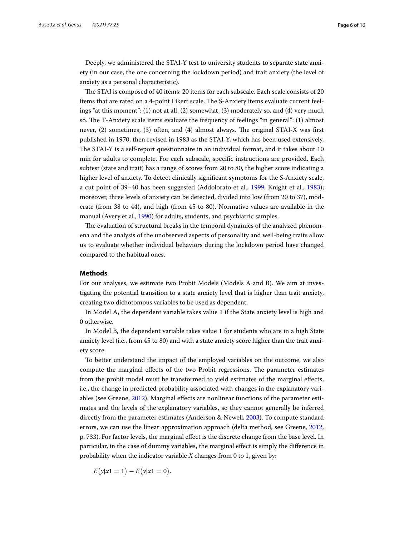Deeply, we administered the STAI-Y test to university students to separate state anxiety (in our case, the one concerning the lockdown period) and trait anxiety (the level of anxiety as a personal characteristic).

The STAI is composed of 40 items: 20 items for each subscale. Each scale consists of 20 items that are rated on a 4-point Likert scale. The S-Anxiety items evaluate current feelings "at this moment": (1) not at all, (2) somewhat, (3) moderately so, and (4) very much so. The T-Anxiety scale items evaluate the frequency of feelings "in general": (1) almost never,  $(2)$  sometimes,  $(3)$  often, and  $(4)$  almost always. The original STAI-X was first published in 1970, then revised in 1983 as the STAI‐Y, which has been used extensively. The STAI-Y is a self-report questionnaire in an individual format, and it takes about 10 min for adults to complete. For each subscale, specifc instructions are provided. Each subtest (state and trait) has a range of scores from 20 to 80, the higher score indicating a higher level of anxiety. To detect clinically significant symptoms for the S-Anxiety scale, a cut point of 39–40 has been suggested (Addolorato et al., [1999;](#page-13-3) Knight et al., [1983](#page-14-26)); moreover, three levels of anxiety can be detected, divided into low (from 20 to 37), moderate (from 38 to 44), and high (from 45 to 80). Normative values are available in the manual (Avery et al., [1990](#page-14-27)) for adults, students, and psychiatric samples.

The evaluation of structural breaks in the temporal dynamics of the analyzed phenomena and the analysis of the unobserved aspects of personality and well-being traits allow us to evaluate whether individual behaviors during the lockdown period have changed compared to the habitual ones.

#### **Methods**

For our analyses, we estimate two Probit Models (Models A and B). We aim at investigating the potential transition to a state anxiety level that is higher than trait anxiety, creating two dichotomous variables to be used as dependent.

In Model A, the dependent variable takes value 1 if the State anxiety level is high and 0 otherwise.

In Model B, the dependent variable takes value 1 for students who are in a high State anxiety level (i.e., from 45 to 80) and with a state anxiety score higher than the trait anxiety score.

To better understand the impact of the employed variables on the outcome, we also compute the marginal effects of the two Probit regressions. The parameter estimates from the probit model must be transformed to yield estimates of the marginal efects, i.e., the change in predicted probability associated with changes in the explanatory variables (see Greene, [2012\)](#page-14-28). Marginal efects are nonlinear functions of the parameter estimates and the levels of the explanatory variables, so they cannot generally be inferred directly from the parameter estimates (Anderson & Newell, [2003\)](#page-13-4). To compute standard errors, we can use the linear approximation approach (delta method, see Greene, [2012](#page-14-28), p. 733). For factor levels, the marginal efect is the discrete change from the base level. In particular, in the case of dummy variables, the marginal efect is simply the diference in probability when the indicator variable *X* changes from 0 to 1, given by:

$$
E(y|x1=1) - E(y|x1=0).
$$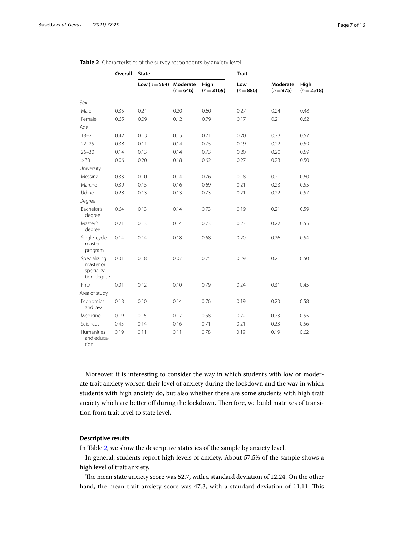|                                                         | Overall | <b>State</b>      |                         |                      | <b>Trait</b>       |                         |                    |
|---------------------------------------------------------|---------|-------------------|-------------------------|----------------------|--------------------|-------------------------|--------------------|
|                                                         |         | Low ( $n = 564$ ) | Moderate<br>$(n = 646)$ | High<br>$(n = 3169)$ | Low<br>$(n = 886)$ | Moderate<br>$(n = 975)$ | High<br>$(n=2518)$ |
| Sex                                                     |         |                   |                         |                      |                    |                         |                    |
| Male                                                    | 0.35    | 0.21              | 0.20                    | 0.60                 | 0.27               | 0.24                    | 0.48               |
| Female                                                  | 0.65    | 0.09              | 0.12                    | 0.79                 | 0.17               | 0.21                    | 0.62               |
| Age                                                     |         |                   |                         |                      |                    |                         |                    |
| $18 - 21$                                               | 0.42    | 0.13              | 0.15                    | 0.71                 | 0.20               | 0.23                    | 0.57               |
| $22 - 25$                                               | 0.38    | 0.11              | 0.14                    | 0.75                 | 0.19               | 0.22                    | 0.59               |
| $26 - 30$                                               | 0.14    | 0.13              | 0.14                    | 0.73                 | 0.20               | 0.20                    | 0.59               |
| >30                                                     | 0.06    | 0.20              | 0.18                    | 0.62                 | 0.27               | 0.23                    | 0.50               |
| University                                              |         |                   |                         |                      |                    |                         |                    |
| Messina                                                 | 0.33    | 0.10              | 0.14                    | 0.76                 | 0.18               | 0.21                    | 0.60               |
| Marche                                                  | 0.39    | 0.15              | 0.16                    | 0.69                 | 0.21               | 0.23                    | 0.55               |
| Udine                                                   | 0.28    | 0.13              | 0.13                    | 0.73                 | 0.21               | 0.22                    | 0.57               |
| Degree                                                  |         |                   |                         |                      |                    |                         |                    |
| Bachelor's<br>degree                                    | 0.64    | 0.13              | 0.14                    | 0.73                 | 0.19               | 0.21                    | 0.59               |
| Master's<br>degree                                      | 0.21    | 0.13              | 0.14                    | 0.73                 | 0.23               | 0.22                    | 0.55               |
| Single-cycle<br>master<br>program                       | 0.14    | 0.14              | 0.18                    | 0.68                 | 0.20               | 0.26                    | 0.54               |
| Specializing<br>master or<br>specializa-<br>tion degree | 0.01    | 0.18              | 0.07                    | 0.75                 | 0.29               | 0.21                    | 0.50               |
| PhD                                                     | 0.01    | 0.12              | 0.10                    | 0.79                 | 0.24               | 0.31                    | 0.45               |
| Area of study                                           |         |                   |                         |                      |                    |                         |                    |
| Economics<br>and law                                    | 0.18    | 0.10              | 0.14                    | 0.76                 | 0.19               | 0.23                    | 0.58               |
| Medicine                                                | 0.19    | 0.15              | 0.17                    | 0.68                 | 0.22               | 0.23                    | 0.55               |
| Sciences                                                | 0.45    | 0.14              | 0.16                    | 0.71                 | 0.21               | 0.23                    | 0.56               |
| <b>Humanities</b><br>and educa-<br>tion                 | 0.19    | 0.11              | 0.11                    | 0.78                 | 0.19               | 0.19                    | 0.62               |

<span id="page-6-0"></span>

Moreover, it is interesting to consider the way in which students with low or moderate trait anxiety worsen their level of anxiety during the lockdown and the way in which students with high anxiety do, but also whether there are some students with high trait anxiety which are better off during the lockdown. Therefore, we build matrixes of transition from trait level to state level.

#### **Descriptive results**

In Table [2](#page-6-0), we show the descriptive statistics of the sample by anxiety level.

In general, students report high levels of anxiety. About 57.5% of the sample shows a high level of trait anxiety.

The mean state anxiety score was 52.7, with a standard deviation of 12.24. On the other hand, the mean trait anxiety score was 47.3, with a standard deviation of 11.11. This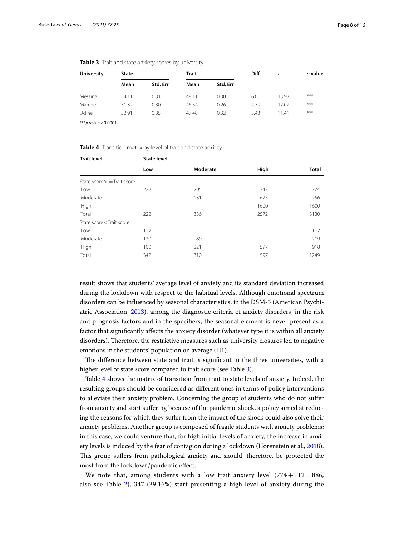| <b>University</b> | <b>State</b> |          | Trait |          | Diff |       | $\rho$ value |
|-------------------|--------------|----------|-------|----------|------|-------|--------------|
|                   | Mean         | Std. Err | Mean  | Std. Err |      |       |              |
| Messina           | 54.11        | 0.31     | 48.11 | 0.30     | 6.00 | 13.93 | ***          |
| Marche            | 51.32        | 0.30     | 46.54 | 0.26     | 4.79 | 12.02 | ***          |
| Udine             | 52.91        | 0.35     | 47.48 | 0.32     | 5.43 | 11.41 | ***          |

<span id="page-7-0"></span>

|  | Table 3 Trait and state anxiety scores by university |  |  |  |  |  |  |
|--|------------------------------------------------------|--|--|--|--|--|--|
|--|------------------------------------------------------|--|--|--|--|--|--|

\*\*\**p* value<0.0001

<span id="page-7-1"></span>**Table 4** Transition matrix by level of trait and state anxiety

| <b>Trait level</b>                                                              | <b>State level</b> |          |      |              |
|---------------------------------------------------------------------------------|--------------------|----------|------|--------------|
|                                                                                 | Low                | Moderate | High | <b>Total</b> |
| State score $>$ = Trait score                                                   |                    |          |      |              |
| Low                                                                             | 222                | 205      | 347  | 774          |
| Moderate                                                                        |                    | 131      | 625  | 756          |
| High                                                                            |                    |          | 1600 | 1600         |
| Total                                                                           | 222                | 336      | 2572 | 3130         |
| State score <trait score<="" td=""><td></td><td></td><td></td><td></td></trait> |                    |          |      |              |
| Low                                                                             | 112                |          |      | 112          |
| Moderate                                                                        | 130                | 89       |      | 219          |
| High                                                                            | 100                | 221      | 597  | 918          |
| Total                                                                           | 342                | 310      | 597  | 1249         |

result shows that students' average level of anxiety and its standard deviation increased during the lockdown with respect to the habitual levels. Although emotional spectrum disorders can be infuenced by seasonal characteristics, in the DSM-5 (American Psychiatric Association, [2013\)](#page-13-2), among the diagnostic criteria of anxiety disorders, in the risk and prognosis factors and in the specifers, the seasonal element is never present as a factor that signifcantly afects the anxiety disorder (whatever type it is within all anxiety disorders). Therefore, the restrictive measures such as university closures led to negative emotions in the students' population on average (H1).

The difference between state and trait is significant in the three universities, with a higher level of state score compared to trait score (see Table [3](#page-7-0)).

Table [4](#page-7-1) shows the matrix of transition from trait to state levels of anxiety. Indeed, the resulting groups should be considered as diferent ones in terms of policy interventions to alleviate their anxiety problem. Concerning the group of students who do not sufer from anxiety and start sufering because of the pandemic shock, a policy aimed at reducing the reasons for which they sufer from the impact of the shock could also solve their anxiety problems. Another group is composed of fragile students with anxiety problems: in this case, we could venture that, for high initial levels of anxiety, the increase in anxiety levels is induced by the fear of contagion during a lockdown (Horenstein et al., [2018](#page-14-5)). Tis group sufers from pathological anxiety and should, therefore, be protected the most from the lockdown/pandemic efect.

We note that, among students with a low trait anxiety level  $(774 + 112 = 886,$ also see Table [2\)](#page-6-0), 347 (39.16%) start presenting a high level of anxiety during the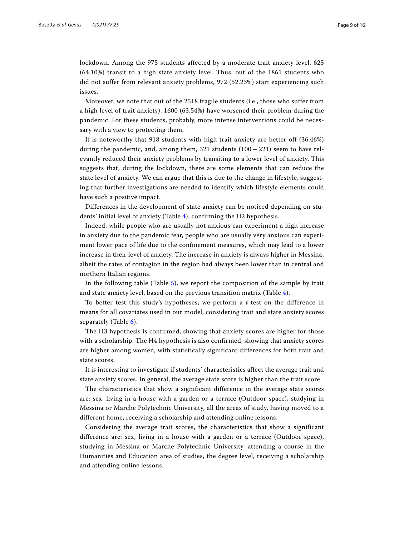lockdown. Among the 975 students affected by a moderate trait anxiety level, 625 (64.10%) transit to a high state anxiety level. Thus, out of the 1861 students who did not suffer from relevant anxiety problems, 972 (52.23%) start experiencing such issues.

Moreover, we note that out of the 2518 fragile students (i.e., those who suffer from a high level of trait anxiety), 1600 (63.54%) have worsened their problem during the pandemic. For these students, probably, more intense interventions could be necessary with a view to protecting them.

It is noteworthy that 918 students with high trait anxiety are better off (36.46%) during the pandemic, and, among them, 321 students  $(100 + 221)$  seem to have relevantly reduced their anxiety problems by transiting to a lower level of anxiety. This suggests that, during the lockdown, there are some elements that can reduce the state level of anxiety. We can argue that this is due to the change in lifestyle, suggesting that further investigations are needed to identify which lifestyle elements could have such a positive impact.

Differences in the development of state anxiety can be noticed depending on students' initial level of anxiety (Table [4](#page-7-1)), confirming the H2 hypothesis.

Indeed, while people who are usually not anxious can experiment a high increase in anxiety due to the pandemic fear, people who are usually very anxious can experiment lower pace of life due to the confinement measures, which may lead to a lower increase in their level of anxiety. The increase in anxiety is always higher in Messina, albeit the rates of contagion in the region had always been lower than in central and northern Italian regions.

In the following table (Table [5](#page-9-0)), we report the composition of the sample by trait and state anxiety level, based on the previous transition matrix (Table [4](#page-7-1)).

To better test this study's hypotheses, we perform a *t* test on the difference in means for all covariates used in our model, considering trait and state anxiety scores separately (Table [6](#page-10-0)).

The H3 hypothesis is confirmed, showing that anxiety scores are higher for those with a scholarship. The H4 hypothesis is also confirmed, showing that anxiety scores are higher among women, with statistically significant differences for both trait and state scores.

It is interesting to investigate if students' characteristics affect the average trait and state anxiety scores. In general, the average state score is higher than the trait score.

The characteristics that show a significant difference in the average state scores are: sex, living in a house with a garden or a terrace (Outdoor space), studying in Messina or Marche Polytechnic University, all the areas of study, having moved to a different home, receiving a scholarship and attending online lessons.

Considering the average trait scores, the characteristics that show a significant difference are: sex, living in a house with a garden or a terrace (Outdoor space), studying in Messina or Marche Polytechnic University, attending a course in the Humanities and Education area of studies, the degree level, receiving a scholarship and attending online lessons.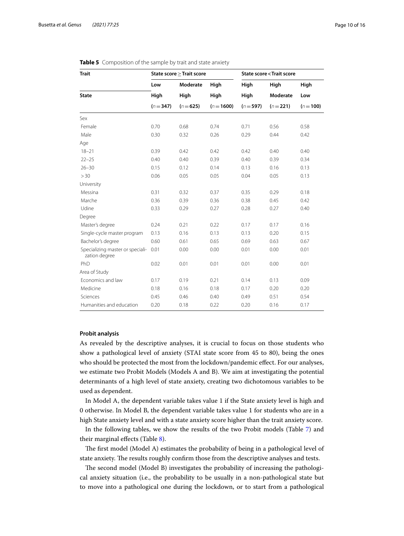| <b>Trait</b>                                      |           | State score ≥ Trait score |              | <b>State score &lt; Trait score</b> |           |           |  |
|---------------------------------------------------|-----------|---------------------------|--------------|-------------------------------------|-----------|-----------|--|
|                                                   | Low       | Moderate                  | High         | High                                | High      | High      |  |
| <b>State</b>                                      | High      | High                      | High         | High                                | Moderate  | Low       |  |
|                                                   | $(n=347)$ | $(n=625)$                 | $(n = 1600)$ | $(n = 597)$                         | $(n=221)$ | $(n=100)$ |  |
| Sex                                               |           |                           |              |                                     |           |           |  |
| Female                                            | 0.70      | 0.68                      | 0.74         | 0.71                                | 0.56      | 0.58      |  |
| Male                                              | 0.30      | 0.32                      | 0.26         | 0.29                                | 0.44      | 0.42      |  |
| Age                                               |           |                           |              |                                     |           |           |  |
| $18 - 21$                                         | 0.39      | 0.42                      | 0.42         | 0.42                                | 0.40      | 0.40      |  |
| $22 - 25$                                         | 0.40      | 0.40                      | 0.39         | 0.40                                | 0.39      | 0.34      |  |
| $26 - 30$                                         | 0.15      | 0.12                      | 0.14         | 0.13                                | 0.16      | 0.13      |  |
| > 30                                              | 0.06      | 0.05                      | 0.05         | 0.04                                | 0.05      | 0.13      |  |
| University                                        |           |                           |              |                                     |           |           |  |
| Messina                                           | 0.31      | 0.32                      | 0.37         | 0.35                                | 0.29      | 0.18      |  |
| Marche                                            | 0.36      | 0.39                      | 0.36         | 0.38                                | 0.45      | 0.42      |  |
| Udine                                             | 0.33      | 0.29                      | 0.27         | 0.28                                | 0.27      | 0.40      |  |
| Degree                                            |           |                           |              |                                     |           |           |  |
| Master's degree                                   | 0.24      | 0.21                      | 0.22         | 0.17                                | 0.17      | 0.16      |  |
| Single-cycle master program                       | 0.13      | 0.16                      | 0.13         | 0.13                                | 0.20      | 0.15      |  |
| Bachelor's degree                                 | 0.60      | 0.61                      | 0.65         | 0.69                                | 0.63      | 0.67      |  |
| Specializing master or speciali-<br>zation degree | 0.01      | 0.00                      | 0.00         | 0.01                                | 0.00      | 0.01      |  |
| PhD                                               | 0.02      | 0.01                      | 0.01         | 0.01                                | 0.00      | 0.01      |  |
| Area of Study                                     |           |                           |              |                                     |           |           |  |
| Fconomics and law                                 | 0.17      | 0.19                      | 0.21         | 0.14                                | 0.13      | 0.09      |  |
| Medicine                                          | 0.18      | 0.16                      | 0.18         | 0.17                                | 0.20      | 0.20      |  |
| Sciences                                          | 0.45      | 0.46                      | 0.40         | 0.49                                | 0.51      | 0.54      |  |
| Humanities and education                          | 0.20      | 0.18                      | 0.22         | 0.20                                | 0.16      | 0.17      |  |

#### <span id="page-9-0"></span>**Table 5** Composition of the sample by trait and state anxiety

#### **Probit analysis**

As revealed by the descriptive analyses, it is crucial to focus on those students who show a pathological level of anxiety (STAI state score from 45 to 80), being the ones who should be protected the most from the lockdown/pandemic efect. For our analyses, we estimate two Probit Models (Models A and B). We aim at investigating the potential determinants of a high level of state anxiety, creating two dichotomous variables to be used as dependent.

In Model A, the dependent variable takes value 1 if the State anxiety level is high and 0 otherwise. In Model B, the dependent variable takes value 1 for students who are in a high State anxiety level and with a state anxiety score higher than the trait anxiety score.

In the following tables, we show the results of the two Probit models (Table [7\)](#page-11-0) and their marginal efects (Table [8](#page-11-1)).

The first model (Model A) estimates the probability of being in a pathological level of state anxiety. The results roughly confirm those from the descriptive analyses and tests.

The second model (Model B) investigates the probability of increasing the pathological anxiety situation (i.e., the probability to be usually in a non-pathological state but to move into a pathological one during the lockdown, or to start from a pathological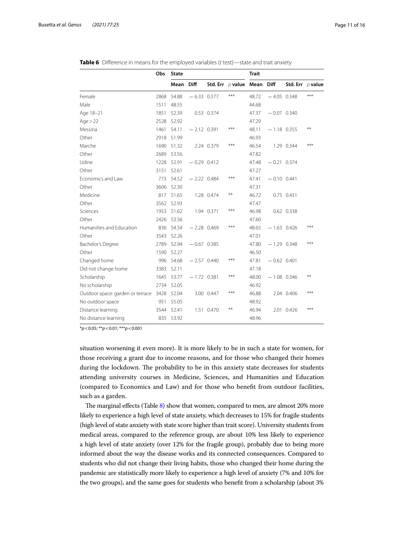|                                       | Obs  | <b>State</b> |               |            |                              | <b>Trait</b> |               |            |                    |
|---------------------------------------|------|--------------|---------------|------------|------------------------------|--------------|---------------|------------|--------------------|
|                                       |      | Mean         | <b>Diff</b>   |            | Std. Err $p$ value Mean Diff |              |               |            | Std. Err $p$ value |
| Female                                | 2868 | 54.88        | $-6.33$ 0.377 |            | ***                          | 48.72        | $-4.05$ 0.348 |            | $***$              |
| Male                                  | 1511 | 48.55        |               |            |                              | 44.68        |               |            |                    |
| Age 18-21                             | 1851 | 52.39        |               | 0.53 0.374 |                              | 47.37        | $-0.07$ 0.340 |            |                    |
| Age > 22                              | 2528 | 52.92        |               |            |                              | 47.29        |               |            |                    |
| Messina                               | 1461 | 54.11        | $-2.12$ 0.391 |            | ***                          | 48.11        | $-1.18$ 0.355 |            | **                 |
| Other                                 | 2918 | 51.99        |               |            |                              | 46.93        |               |            |                    |
| Marche                                | 1690 | 51.32        |               | 2.24 0.379 | ***                          | 46.54        |               | 1.29 0.344 | ***                |
| Other                                 | 2689 | 53.56        |               |            |                              | 47.82        |               |            |                    |
| Udine                                 | 1228 | 52.91        | $-0.29$ 0.412 |            |                              | 47.48        | $-0.21$ 0.374 |            |                    |
| Other                                 | 3151 | 52.61        |               |            |                              | 47.27        |               |            |                    |
| Economics and Law                     | 773  | 54.52        | $-2.22$ 0.484 |            | ***                          | 47.41        | $-0.10$ 0.441 |            |                    |
| Other                                 | 3606 | 52.30        |               |            |                              | 47.31        |               |            |                    |
| Medicine                              | 817  | 51.65        |               | 1.28 0.474 | **                           | 46.72        |               | 0.75 0.431 |                    |
| Other                                 | 3562 | 52.93        |               |            |                              | 47.47        |               |            |                    |
| Sciences                              | 1953 | 51.62        |               | 1.94 0.371 | $***$                        | 46.98        |               | 0.62 0.338 |                    |
| Other                                 | 2426 | 53.56        |               |            |                              | 47.60        |               |            |                    |
| Humanities and Education              | 836  | 54.54        | $-2.28$ 0.469 |            | ***                          | 48.65        | $-1.63$ 0.426 |            | ***                |
| Other                                 | 3543 | 52.26        |               |            |                              | 47.01        |               |            |                    |
| Bachelor's Degree                     | 2789 | 52.94        | $-0.67$ 0.385 |            |                              | 47.80        | $-1.29$ 0.348 |            | ***                |
| Other                                 | 1590 | 52.27        |               |            |                              | 46.50        |               |            |                    |
| Changed home                          | 996  | 54.68        | $-2.57$ 0.440 |            | ***                          | 47.81        | $-0.62$ 0.401 |            |                    |
| Did not change home                   | 3383 | 52.11        |               |            |                              | 47.18        |               |            |                    |
| Scholarship                           | 1645 | 53.77        | $-1.72$ 0.381 |            | ***                          | 48.00        | $-1.08$ 0.346 |            | **                 |
| No scholarship                        | 2734 | 52.05        |               |            |                              | 46.92        |               |            |                    |
| Outdoor space: garden or terrace 3428 |      | 52.04        |               | 3.00 0.447 | $***$                        | 46.88        |               | 2.04 0.406 | ***                |
| No outdoor space                      | 951  | 55.05        |               |            |                              | 48.92        |               |            |                    |
| Distance learning                     | 3544 | 52.41        |               | 1.51 0.470 | **                           | 46.94        |               | 2.01 0.426 | $***$              |
| No distance learning                  |      | 835 53.92    |               |            |                              | 48.96        |               |            |                    |

<span id="page-10-0"></span>

|  |  |  |  | Table 6 Difference in means for the employed variables (t test)—state and trait anxiety |  |  |
|--|--|--|--|-----------------------------------------------------------------------------------------|--|--|
|--|--|--|--|-----------------------------------------------------------------------------------------|--|--|

\**p*<0.05; \*\**p*<0.01; \*\*\**p*<0.001

situation worsening it even more). It is more likely to be in such a state for women, for those receiving a grant due to income reasons, and for those who changed their homes during the lockdown. The probability to be in this anxiety state decreases for students attending university courses in Medicine, Sciences, and Humanities and Education (compared to Economics and Law) and for those who beneft from outdoor facilities, such as a garden.

The marginal effects (Table [8](#page-11-1)) show that women, compared to men, are almost  $20\%$  more likely to experience a high level of state anxiety, which decreases to 15% for fragile students (high level of state anxiety with state score higher than trait score). University students from medical areas, compared to the reference group, are about 10% less likely to experience a high level of state anxiety (over 12% for the fragile group), probably due to being more informed about the way the disease works and its connected consequences. Compared to students who did not change their living habits, those who changed their home during the pandemic are statistically more likely to experience a high level of anxiety (7% and 10% for the two groups), and the same goes for students who beneft from a scholarship (about 3%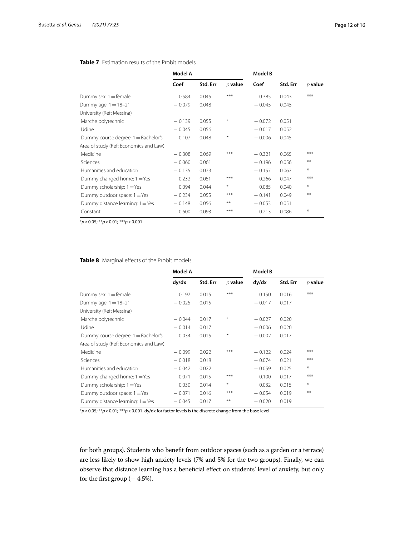|                                        | Model A  |          |           | <b>Model B</b> |          |              |  |
|----------------------------------------|----------|----------|-----------|----------------|----------|--------------|--|
|                                        | Coef     | Std. Err | $D$ value | Coef           | Std. Err | $\rho$ value |  |
| Dummy sex: $1 =$ female                | 0.584    | 0.045    | ***       | 0.385          | 0.043    | ***          |  |
| Dummy age: $1 = 18 - 21$               | $-0.079$ | 0.048    |           | $-0.045$       | 0.045    |              |  |
| University (Ref: Messina)              |          |          |           |                |          |              |  |
| Marche polytechnic                     | $-0.139$ | 0.055    | $\ast$    | $-0.072$       | 0.051    |              |  |
| Udine                                  | $-0.045$ | 0.056    |           | $-0.017$       | 0.052    |              |  |
| Dummy course degree: 1 = Bachelor's    | 0.107    | 0.048    | $\ast$    | $-0.006$       | 0.045    |              |  |
| Area of study (Ref: Economics and Law) |          |          |           |                |          |              |  |
| Medicine                               | $-0.308$ | 0.069    | ***       | $-0.321$       | 0.065    | ***          |  |
| Sciences                               | $-0.060$ | 0.061    |           | $-0.196$       | 0.056    | **           |  |
| Humanities and education               | $-0.135$ | 0.073    |           | $-0.157$       | 0.067    | $*$          |  |
| Dummy changed home: 1 = Yes            | 0.232    | 0.051    | ***       | 0.266          | 0.047    | ***          |  |
| Dummy scholarship: 1 = Yes             | 0.094    | 0.044    | $\ast$    | 0.085          | 0.040    | $\ast$       |  |
| Dummy outdoor space: 1 = Yes           | $-0.234$ | 0.055    | ***       | $-0.141$       | 0.049    | **           |  |
| Dummy distance learning: 1 = Yes       | $-0.148$ | 0.056    | $***$     | $-0.053$       | 0.051    |              |  |
| Constant                               | 0.600    | 0.093    | ***       | 0.213          | 0.086    | $\ast$       |  |

#### <span id="page-11-0"></span>**Table 7** Estimation results of the Probit models

\**p*<0.05; \*\**p*<0.01; \*\*\**p*<0.001

#### <span id="page-11-1"></span>**Table 8** Marginal effects of the Probit models

|                                        | Model A  |          |           | <b>Model B</b> |          |           |
|----------------------------------------|----------|----------|-----------|----------------|----------|-----------|
|                                        | dy/dx    | Std. Err | $D$ value | dy/dx          | Std. Err | $p$ value |
| Dummy sex: $1 =$ female                | 0.197    | 0.015    | ***       | 0.150          | 0.016    | ***       |
| Dummy age: $1 = 18 - 21$               | $-0.025$ | 0.015    |           | $-0.017$       | 0.017    |           |
| University (Ref: Messina)              |          |          |           |                |          |           |
| Marche polytechnic                     | $-0.044$ | 0.017    | $\ast$    | $-0.027$       | 0.020    |           |
| Udine                                  | $-0.014$ | 0.017    |           | $-0.006$       | 0.020    |           |
| Dummy course degree: 1 = Bachelor's    | 0.034    | 0.015    | $\ast$    | $-0.002$       | 0.017    |           |
| Area of study (Ref: Economics and Law) |          |          |           |                |          |           |
| Medicine                               | $-0.099$ | 0.022    | ***       | $-0.122$       | 0.024    | ***       |
| Sciences                               | $-0.018$ | 0.018    |           | $-0.074$       | 0.021    | ***       |
| Humanities and education               | $-0.042$ | 0.022    |           | $-0.059$       | 0.025    | $\ast$    |
| Dummy changed home: 1 = Yes            | 0.071    | 0.015    | ***       | 0.100          | 0.017    | ***       |
| Dummy scholarship: 1 = Yes             | 0.030    | 0.014    | $\ast$    | 0.032          | 0.015    | $*$       |
| Dummy outdoor space: 1 = Yes           | $-0.071$ | 0.016    | ***       | $-0.054$       | 0.019    | **        |
| Dummy distance learning: 1 = Yes       | $-0.045$ | 0.017    | $***$     | $-0.020$       | 0.019    |           |

\**p*<0.05; \*\**p*<0.01; \*\*\**p*<0.001. dy/dx for factor levels is the discrete change from the base level

for both groups). Students who beneft from outdoor spaces (such as a garden or a terrace) are less likely to show high anxiety levels (7% and 5% for the two groups). Finally, we can observe that distance learning has a beneficial effect on students' level of anxiety, but only for the first group  $(-4.5\%).$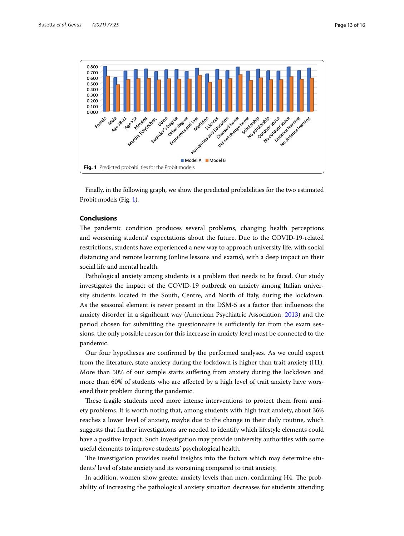

<span id="page-12-0"></span>Finally, in the following graph, we show the predicted probabilities for the two estimated Probit models (Fig. [1\)](#page-12-0).

#### **Conclusions**

The pandemic condition produces several problems, changing health perceptions and worsening students' expectations about the future. Due to the COVID-19-related restrictions, students have experienced a new way to approach university life, with social distancing and remote learning (online lessons and exams), with a deep impact on their social life and mental health.

Pathological anxiety among students is a problem that needs to be faced. Our study investigates the impact of the COVID-19 outbreak on anxiety among Italian university students located in the South, Centre, and North of Italy, during the lockdown. As the seasonal element is never present in the DSM-5 as a factor that infuences the anxiety disorder in a signifcant way (American Psychiatric Association, [2013\)](#page-13-2) and the period chosen for submitting the questionnaire is sufficiently far from the exam sessions, the only possible reason for this increase in anxiety level must be connected to the pandemic.

Our four hypotheses are confrmed by the performed analyses. As we could expect from the literature, state anxiety during the lockdown is higher than trait anxiety (H1). More than 50% of our sample starts sufering from anxiety during the lockdown and more than 60% of students who are afected by a high level of trait anxiety have worsened their problem during the pandemic.

These fragile students need more intense interventions to protect them from anxiety problems. It is worth noting that, among students with high trait anxiety, about 36% reaches a lower level of anxiety, maybe due to the change in their daily routine, which suggests that further investigations are needed to identify which lifestyle elements could have a positive impact. Such investigation may provide university authorities with some useful elements to improve students' psychological health.

The investigation provides useful insights into the factors which may determine students' level of state anxiety and its worsening compared to trait anxiety.

In addition, women show greater anxiety levels than men, confirming H4. The probability of increasing the pathological anxiety situation decreases for students attending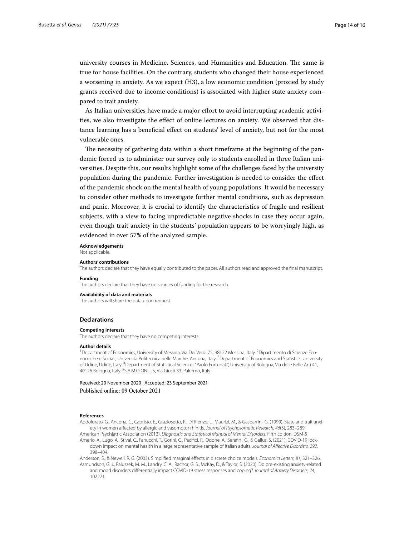university courses in Medicine, Sciences, and Humanities and Education. The same is true for house facilities. On the contrary, students who changed their house experienced a worsening in anxiety. As we expect (H3), a low economic condition (proxied by study grants received due to income conditions) is associated with higher state anxiety compared to trait anxiety.

As Italian universities have made a major efort to avoid interrupting academic activities, we also investigate the efect of online lectures on anxiety. We observed that distance learning has a benefcial efect on students' level of anxiety, but not for the most vulnerable ones.

The necessity of gathering data within a short timeframe at the beginning of the pandemic forced us to administer our survey only to students enrolled in three Italian universities. Despite this, our results highlight some of the challenges faced by the university population during the pandemic. Further investigation is needed to consider the efect of the pandemic shock on the mental health of young populations. It would be necessary to consider other methods to investigate further mental conditions, such as depression and panic. Moreover, it is crucial to identify the characteristics of fragile and resilient subjects, with a view to facing unpredictable negative shocks in case they occur again, even though trait anxiety in the students' population appears to be worryingly high, as evidenced in over 57% of the analyzed sample.

**Acknowledgements**

Not applicable.

#### **Authors' contributions**

The authors declare that they have equally contributed to the paper. All authors read and approved the fnal manuscript.

#### **Funding**

The authors declare that they have no sources of funding for the research.

#### **Availability of data and materials**

The authors will share the data upon request.

#### **Declarations**

#### **Competing interests**

The authors declare that they have no competing interests.

#### **Author details**

<sup>1</sup> Department of Economics, University of Messina, Via Dei Verdi 75, 98122 Messina, Italy. <sup>2</sup> Dipartimento di Scienze Economiche e Sociali, Università Politecnica delle Marche, Ancona, Italy. <sup>3</sup>Department of Economics and Statistics, University of Udine, Udine, Italy. <sup>4</sup>Department of Statistical Sciences "Paolo Fortunati", University of Bologna, Via delle Belle Arti 41, 40126 Bologna, Italy. <sup>5</sup>S.A.M.O ONLUS, Via Giusti 33, Palermo, Italy.

Received: 20 November 2020 Accepted: 23 September 2021 Published online: 09 October 2021

#### **References**

<span id="page-13-3"></span>Addolorato, G., Ancona, C., Capristo, E., Graziosetto, R., Di Rienzo, L., Maurizi, M., & Gasbarrini, G. (1999). State and trait anxiety in women afected by allergic and vasomotor rhinitis. *Journal of Psychosomatic Research, 46*(3), 283–289.

<span id="page-13-2"></span><span id="page-13-1"></span>American Psychiatric Association (2013). *Diagnostic and Statistical Manual of Mental Disorders*, Fifth Edition, DSM-5 Amerio, A., Lugo, A., Stival, C., Fanucchi, T., Gorini, G., Pacifci, R., Odone, A., Serafni, G., & Gallus, S. (2021). COVID-19 lockdown impact on mental health in a large representative sample of Italian adults. *Journal of Afective Disorders, 292*, 398–404.

<span id="page-13-4"></span><span id="page-13-0"></span>Anderson, S., & Newell, R. G. (2003). Simplifed marginal efects in discrete choice models. *Economics Letters, 81*, 321–326. Asmundson, G. J., Paluszek, M. M., Landry, C. A., Rachor, G. S., McKay, D., & Taylor, S. (2020). Do pre-existing anxiety-related and mood disorders diferentially impact COVID-19 stress responses and coping? *Journal of Anxiety Disorders, 74*, 102271.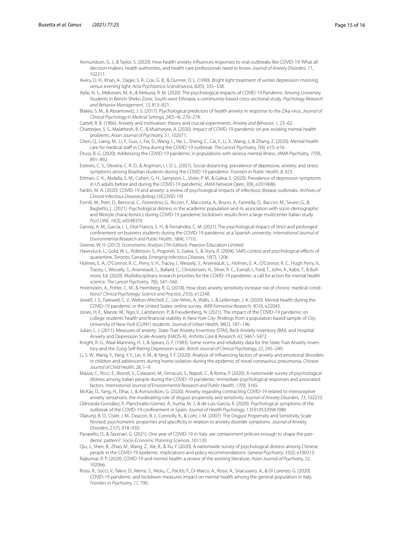- Asmundson, G. J., & Taylor, S. (2020). How health anxiety infuences responses to viral outbreaks like COVID-19: What all decision-makers, health authorities, and health care professionals need to know. *Journal of Anxiety Disorders, 71*, 102211.
- <span id="page-14-27"></span>Avery, D. H., Khan, A., Dager, S. R., Cox, G. B., & Dunner, D. L. (1990). Bright light treatment of winter depression: morning versus evening light. *Acta Psychiatrica Scandinavica, 82*(5), 335–338.
- <span id="page-14-23"></span>Aylie, N. S., Mekonen, M. A., & Mekuria, R. M. (2020). The psychological impacts of COVID-19 Pandemic Among University Students in Bench-Sheko Zone, South-west Ethiopia: a community-based cross-sectional study. *Psychology Research and Behavior Management, 13*, 813–821.
- <span id="page-14-4"></span>Blakey, S. M., & Abramowitz, J. S. (2017). Psychological predictors of health anxiety in response to the Zika virus. *Journal of Clinical Psychology in Medical Settings, 24*(3–4), 270–278.
- <span id="page-14-24"></span>Cattell, R. B. (1966). Anxiety and motivation: theory and crucial experiments. *Anxiety and Behavior, 1*, 23–62.
- <span id="page-14-9"></span>Chatterjee, S. S., Malathesh, B. C., & Mukherjee, A. (2020). Impact of COVID-19 pandemic on pre-existing mental health problems. *Asian Journal of Psychiatry, 51*, 102071.
- <span id="page-14-12"></span>Chen, Q., Liang, M., Li, Y., Guo, J., Fei, D., Wang, L., He, L., Sheng, C., Cai, Y., Li, X., Wang, J., & Zhang, Z. (2020). Mental health care for medical staff in China during the COVID-19 outbreak. *The Lancet Psychiatry, 7(4)*, e15-e16.
- <span id="page-14-10"></span>Druss, B. G. (2020). Addressing the COVID-19 pandemic in populations with serious mental illness. *JAMA Psychiatry, 77*(9), 891–892.
- <span id="page-14-17"></span>Esteves, C. S., Oliveira, C. R. D., & Argimon, I. I. D. L. (2021). Social distancing: prevalence of depressive, anxiety, and stress symptoms among Brazilian students during the COVID-19 pandemic. *Frontiers in Public Health, 8*, 923.
- <span id="page-14-16"></span>Ettman, C. K., Abdalla, S. M., Cohen, G. H., Sampson, L., Vivier, P. M., & Galea, S. (2020). Prevalence of depression symptoms in US adults before and during the COVID-19 pandemic. *JAMA Network Open, 3*(9), e2019686.
- <span id="page-14-0"></span>Fardin, M. A. (2020). COVID-19 and anxiety: a review of psychological impacts of infectious disease outbreaks. *Archives of Clinical Infectious Diseases*, *15*(COVID-19)
- <span id="page-14-20"></span>Fornili, M., Petri, D., Berrocal, C., Fiorentino, G., Ricceri, F., Macciotta, A., Bruno, A., Farinella, D., Baccini, M., Severi, G., & Baglietto, L. (2021). Psychological distress in the academic population and its association with socio-demographic and lifestyle characteristics during COVID-19 pandemic lockdown: results from a large multicenter Italian study. *PLoS ONE, 16*(3), e0248370.
- <span id="page-14-18"></span>Garvey, A. M., García, I. J., Otal Franco, S. H., & Fernández, C. M. (2021). The psychological impact of strict and prolonged confnement on business students during the COVID-19 pandemic at a Spanish university. *International Journal of Environmental Research and Public Health, 18*(4), 1710.

<span id="page-14-28"></span>Greene, W. H. (2012). *Econometric Analysis (7th Edition)*. Pearson Education Limited

- <span id="page-14-11"></span>Hawryluck, L., Gold, W. L., Robinson, S., Pogorski, S., Galea, S., & Styra, R. (2004). SARS control and psychological efects of quarantine, Toronto, Canada. *Emerging Infectious Diseases, 10*(7), 1206.
- <span id="page-14-1"></span>Holmes, E. A., O'Connor, R. C., Perry, V. H., Tracey, I., Wessely, S., Arseneault, L., Holmes, E. A., O'Connor, R. C., Hugh Perry, V., Tracey, I., Wessely, S., Arseneault, L., Ballard, C., Christensen, H., Silver, R. C., Everall, I., Ford, T., John, A., Kabir, T., & Bullmore, Ed. (2020). Multidisciplinary research priorities for the COVID-19 pandemic: a call for action for mental health science. *The Lancet Psychiatry, 7*(6), 547–560.
- <span id="page-14-5"></span>Horenstein, A., Potter, C. M., & Heimberg, R. G. (2018). How does anxiety sensitivity increase risk of chronic medical conditions? *Clinical Psychology: Science and Practice, 25*(3), e12248.
- <span id="page-14-22"></span>Jewell, J. S., Farewell, C. V., Welton-Mitchell, C., Lee-Winn, A., Walls, J., & Leiferman, J. A. (2020). Mental health during the COVID-19 pandemic in the United States: online survey. *JMIR Formative Research, 4*(10), e22043.
- <span id="page-14-19"></span>Jones, H. E., Manze, M., Ngo, V., Lamberson, P., & Freudenberg, N. (2021). The impact of the COVID-19 pandemic on college students' health and fnancial stability in New York City: fndings from a population-based sample of City University of New York (CUNY) students. *Journal of Urban Health, 98*(2), 187–196.
- <span id="page-14-25"></span>Julian, L. J. (2011). Measures of anxiety: State-Trait Anxiety Inventory (STAI), Beck Anxiety Inventory (BAI), and Hospital Anxiety and Depression Scale-Anxiety (HADS-A). *Arthritis Care & Research, 63*, S467–S472.
- <span id="page-14-26"></span>Knight, R. G., Waal-Manning, H. J., & Spears, G. F. (1983). Some norms and reliability data for the State-Trait Anxiety Inventory and the Zung Self-Rating Depression scale. *British Journal of Clinical Psychology, 22*, 245–249.
- <span id="page-14-13"></span>Li, S. W., Wang, Y., Yang, Y. Y., Lei, X. M., & Yang, Y. F. (2020). Analysis of infuencing factors of anxiety and emotional disorders in children and adolescents during home isolation during the epidemic of novel coronavirus pneumonia. *Chinese Journal of Child Health, 28*, 1–9.
- <span id="page-14-8"></span>Mazza, C., Ricci, E., Biondi, S., Colasanti, M., Ferracuti, S., Napoli, C., & Roma, P. (2020). A nationwide survey of psychological distress among Italian people during the COVID-19 pandemic: immediate psychological responses and associated factors. *International Journal of Environmental Research and Public Health, 17*(9), 3165.
- <span id="page-14-2"></span>McKay, D., Yang, H., Elhai, J., & Asmundson, G. (2020). Anxiety regarding contracting COVID-19 related to interoceptive anxiety sensations: the moderating role of disgust propensity and sensitivity. *Journal of Anxiety Disorders, 73*, 102233.
- <span id="page-14-7"></span>Odriozola-González, P., Planchuelo-Gómez, Á., Irurtia, M. J., & de Luis-García, R. (2020). Psychological symptoms of the outbreak of the COVID-19 confnement in Spain. *Journal of Health Psychology*, 1359105320967086
- <span id="page-14-3"></span>Olatunji, B. O., Cisler, J. M., Deacon, B. J., Connolly, K., & Lohr, J. M. (2007). The Disgust Propensity and Sensitivity Scale-Revised: psychometric properties and specifcity in relation to anxiety disorder symptoms. *Journal of Anxiety Disorders, 21*(7), 918–930.
- <span id="page-14-14"></span>Panarello, D., & Tassinari, G. (2021). One year of COVID-19 in Italy: are containment policies enough to shape the pandemic pattern?. *Socio-Economic Planning Sciences*, 101120
- <span id="page-14-6"></span>Qiu, J., Shen, B., Zhao, M., Wang, Z., Xie, B., & Xu, Y. (2020). A nationwide survey of psychological distress among Chinese people in the COVID-19 epidemic: implications and policy recommendations. *General Psychiatry, 33*(2), e100213.
- <span id="page-14-21"></span>Rajkumar, R. P. (2020). COVID-19 and mental health: a review of the existing literature. *Asian Journal of Psychiatry, 52*, 102066.
- <span id="page-14-15"></span>Rossi, R., Socci, V., Talevi, D., Mensi, S., Niolu, C., Pacitti, F., Di Marco, A., Rossi, A., Siracusano, A., & Di Lorenzo, G. (2020). COVID-19 pandemic and lockdown measures impact on mental health among the general population in Italy. *Frontiers in Psychiatry, 11*, 790.